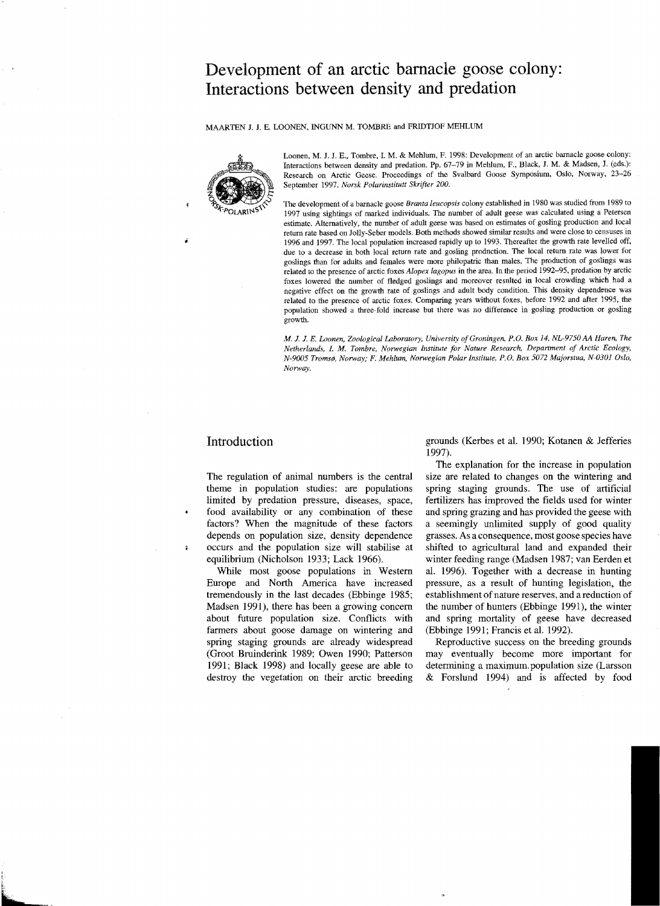# **Development of an arctic barnacle goose colony: Interactions between density and predation**

MAARTEN J. J. E. LOONEN, INGUNN M. TOMBRE and FRIDTJOF MEHLUM



Loonen, M. J. J. E., Tombre, 1. M. & Mehlum, F. 1998: Development of an arctic barnacle goose colony: Interactions between density and predation. Pp. 67-79 in Mehlum, F., Black, J. M. & Madsen, J. (eds.): Research on Arctic Geese. Proceedings of the Svalbard Goose Symposium, Oslo, Norway, 23-26 September 1997. *Norsk Polarinstitutt Skrifter 200.* 

The development of a barnacle goose *Branta /eucopsis* colony established in 1980 was studied from 1989 to 1997 using sightings of marked individuals. The number of adult geese was calculated using a Petersen estimate. Alternatively, the number of adult geese was based on estimates of gosling production and local return rate based on Jolly-Seber models. Both methods showed similar results and were close to censuses in 1996 and 1997. The local population increased rapidly up to 1993. Thereafter the growth rate levelled off, due to a decrease in both local return rate and gosling prodnction. The local return rate was lower for goslings than for adults and females were more philopatric than males. The production of goslings was related to the presence of arctic foxes *Alopex lagopus* in the area. In the period 1992-95, predation by arctic foxes lowered the number of fledged goslings and moreover resnlted in local crowding which had a negative effect on the growth rate of goslings and adult body condition. This density dependence was related to the presence of arctic foxes. Comparing years without foxes. before 1992 and after 1995. the population showed a tbree-fold increase but there was no difference in gosling production or gosling growth.

*M.* J. J. *E. Laonen, Zoological Laboratory, University ofGroningen, P,O. Box* 14, *NL-9750 AA Haren, The Netherlands, I. M. Tombre, Norwegian Institute for Nature Research Depanment of Arctic Ecology,*   $N$ -9005 Tromsø, Norway; F. Mehlum, Norwegian Polar Institute, P.O. Box 5072 Majorstua, N-0301 Oslo, *Norway.* 

è

theme in population studies: are populations spring staging grounds. The use of artificial limited by predation pressure, diseases, space, fertilizers has improved the fields used for winter food availability or any combination of these and spring grazing and has provided the geese with factors? When the magnitude of these factors a seemingly unlimited supply of good quality depends on population size, density dependence grasses. As a consequence, most goose species have occurs and the population size will stabilise at shifted to agricultural land and expanded their equilibrium (Nicholson 1933; Lack 1966). winter feeding range (Madsen 1987; van Eerden et

farmers about goose damage on wintering and (Ebbinge 1991; Francis et al. 1992). spring staging grounds are already widespread Reproductive success on the breeding grounds

**Introduction and Structure 3** grounds (Kerbes et al. 1990; Kotanen & Jefferies 1997).

The explanation for the increase in population The regulation of animal numbers is the central size are related to changes on the wintering and grasses. As a consequence, most goose species have While most goose populations in Western al. 1996). Together with a decrease in hunting Europe and North America have increased pressure, as a result of hunting legislation, the tremendously in the last decades (Ebbinge 1985; establishment of nature reserves, and a reduction of Madsen 1991), there has been a growing concern the number of hunters (Ebbinge 1991), the winter about future population size. Conflicts with and spring mortality of geese have decreased

(Groot Bruinderink 1989; Owen 1990; Patterson may eventually become more important for 1991; Black 1998) and locally geese are able to determining a maximum. population size (Larsson destroy the vegetation on their arctic breeding & Forslund 1994) and is affected by food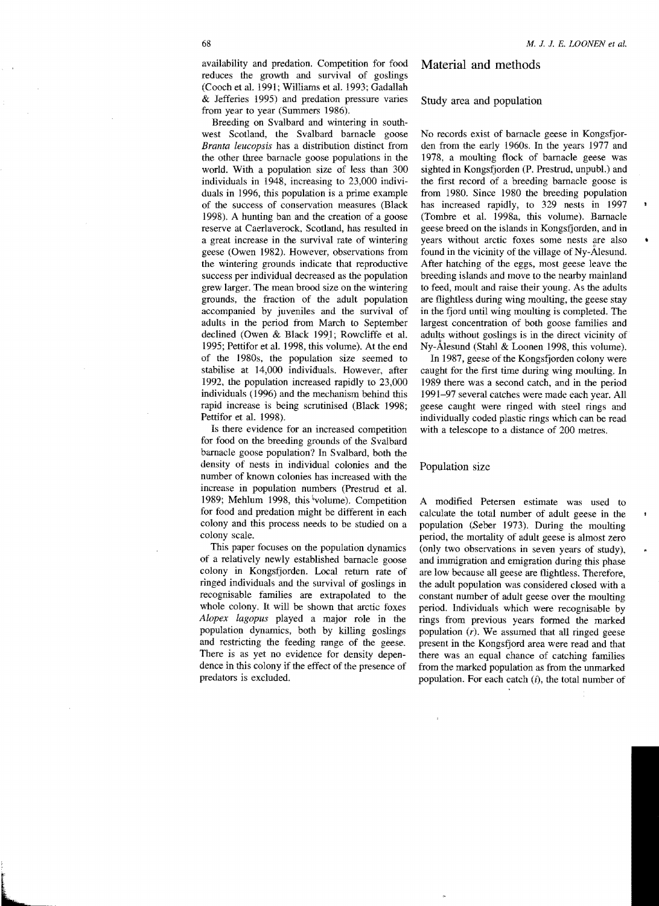Breeding on Svalbard and wintering in southwest Scotland, the Svalbard barnacle goose *Branta leucopsis* has a distribution distinct from the other three barnacle goose populations in the world. With a population size of less than 300 individuals in 1948, increasing to 23,000 individuals in 1996, this population is a prime example of the success of conservation measures (Black 1998). A hunting ban and the creation of a goose reserve at Caerlaverock, Scotland, has resulted in a great increase in the survival rate of wintering geese (Owen 1982). However, observations from the wintering grounds indicate that reproductive success per individual decreased as the population grew larger. The mean brood size on the wintering grounds, the fraction of the adult population accompanied by juveniles and the survival of adults in the period from March to September declined (Owen & Black 1991; Rowcliffe et al. 1995; Pettifor et al. 1998, this volume). At the end of the 19808, the population size seemed to stabilise at 14,000 individuals. However, after 1992, the population increased rapidly to 23,000 individuals (1996) and the mechanism behind this rapid increase is being scrutinised (Black 1998; Pettifor et al. 1998).

Is there evidence for an increased competition for food on the breeding grounds of the Svalbard barnacle goose population? In Svalbard, both the density of nests in individual colonies and the number of known colonies has increased with the increase in population numbers (Prestrud et al. 1989; Mehlum 1998, this 'volume). Competition for food and predation might be different in each colony and this process needs to be studied on a colony scale.

This paper focuses on the population dynamics of a relatively newly established barnacle goose colony in Kongsfjorden. Local return rate of ringed individuals and the survival of goslings in recognisable families are extrapolated to the whole colony. It will be shown that arctic foxes *Alopex /agopus* played a major role in the population dynamics, both by killing goslings and restricting the feeding range of the geese. There is as yet no evidence for density dependence in this colony if the effect of the presence of predators is excluded.

## Material and methods

#### Study area and population

No records exist of barnacle geese in Kongsfjorden from the early 19608. In the years 1977 and 1978, a moulting flock of barnacle geese was sighted in Kongsfjorden (P. Prestrud, unpubL) and the first record of a breeding barnacle goose is from 1980. Since 1980 the breeding population has increased rapidly, to 329 nests in 1997 (Tombre et a1. 1998a, this volume). Barnacle geese breed on the islands in Kongsfjorden, and in years without arctic foxes some nests are also found in the vicinity of the village of Ny-AIesund. After hatching of the eggs, most geese leave the breeding islands and move to the nearby mainland to feed, moult and raise their young. As the adults are flightless during wing moulting, the geese stay in the fjord until wing moulting is completed. The largest concentration of both goose families and adults without goslings is in the direct vicinity of Ny-Alesund (Stahl & Loonen 1998, this volume).

In 1987, geese of the Kongsfjorden colony were caught for the first time during wing moulting. In 1989 there was a second catch, and in the period 1991-97 several catches were made each year. All geese caught were ringed with steel rings and individually coded plastic rings which can be read with a telescope to a distance of 200 metres.

#### Population size

A modified Petersen estimate was used to calculate the total number of adult geese in the population (Seber 1973). During the moulting period, the mortality of adult geese is almost zero (only two observations in seven years of study), and immigration and emigration during this phase are low because all geese are flightless. Therefore, the adult population was considered closed with a constant number of adult geese over the moulting period. Individuals which were recognisable by rings from previous years formed the marked population (r). We assumed that all ringed geese present in the Kongsfjord area were read and that there was an equal chance of catching families from the marked population as from the uumarked population. For each catch  $(i)$ , the total number of

 $\overline{\mathbf{r}}$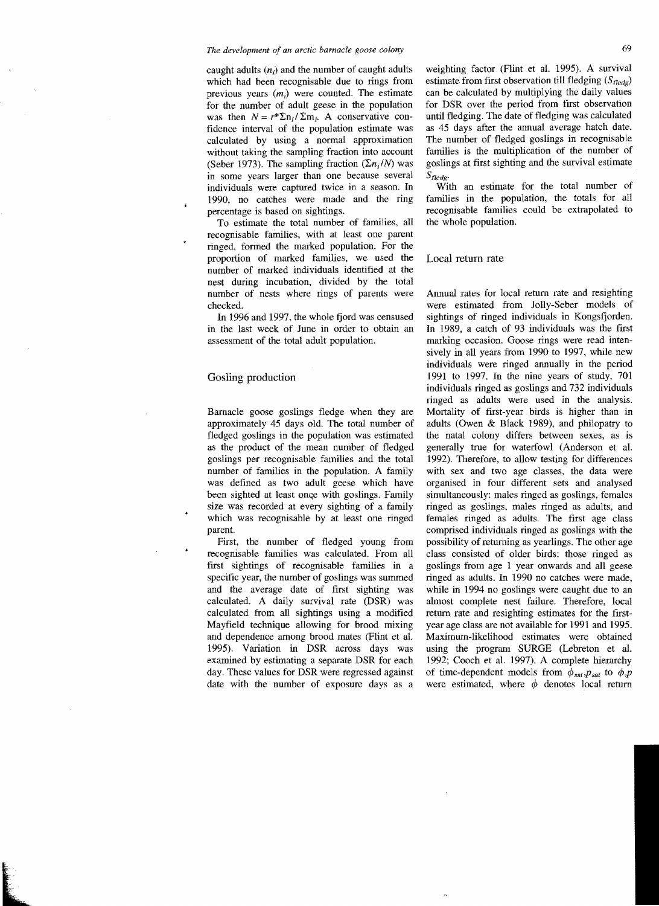caught adults  $(n_i)$  and the number of caught adults which had been recognisable due to rings from previous years  $(m_i)$  were counted. The estimate for the number of adult geese in the population was then  $N = r^* \Sigma n_i / \Sigma m_i$ . A conservative confidence interval of the population estimate was calculated by using a normal approximation without taking the sampling fraction into account (Seber 1973). The sampling fraction  $(\Sigma n_i/N)$  was in some years larger than one because several individuals were captured twice in a season. In 1990, no catches were made and the ring percentage is based on sightings.

To estimate the total number of families, all recognisable families, with at least one parent ringed, formed the marked population. For the proportion of marked families, we used the number of marked individuals identified at the nest during incubation, divided by the total number of nests where rings of parents were checked.

In 1996 and 1997, the whole fjord was censused in the last week of June in order to obtain an assessment of the total adult population.

# Gosling production

Barnacle goose goslings fledge when they are approximately 45 days old. The total number of fledged goslings in the population was estimated as the product of the mean number of fledged goslings per recognisable families and the total number of families in the population. A family was defined as two adult geese which have been sighted at least once with goslings. Family size was recorded at every sighting of a family which was recognisable by at least one ringed parent.

First, the number of fledged young from recognisable families was calculated. From all first sightings of recognisable families in a specific year, the number of goslings was summed and the average date of first sighting was calculated. A daily survival rate (DSR) was calculated from all sightings using a modified Mayfield technique allowing for brood mixing and dependence among brood mates (Flint et al. 1995). Variation in DSR across days was examined by estimating a separate DSR for each day. These values for DSR were regressed against date with the number of exposure days as a weighting factor (Flint et al. 1995). A survival estimate from first observation till fledging  $(S_{fledge})$ can be calculated by multiplying the daily values for DSR over the period from first observation until fledging. The date of fledging was calculated as 45 days after the annual average hatch date. The number of fledged goslings in recognisable families is the multiplication of the number of goslings at first sighting and the survival estimate S<sub>fledg</sub>.

With an estimate for the total number of families in the population, the totals for all recognisable families could be extrapolated to the whole population.

#### Local return rate

Annual rates for local return rate and resighting were estimated from Jolly-Seber models of sightings of ringed individuals in Kongsfjorden. In 1989, a catch of 93 individuals was the first marking occasion. Goose rings were read intensively in all years from 1990 to 1997, while new individuals were ringed annually in the period 1991 to 1997. In the nine years of study, 701 individuals ringed as goslings and 732 individuals ringed as adults were used in the analysis. Mortality of first-year birds is higher than in adults (Owen & Black 1989), and philopatry to the natal colony differs between sexes, as is generally true for waterfowl (Anderson et al. 1992). Therefore, to allow testing for differences with sex and two age classes, the data were organised in four different sets and analysed simultaneously: males ringed as goslings, females ringed as goslings, males ringed as adults, and females ringed as adults. The first age class comprised individuals ringed as goslings with the possibility of returning as yearlings. The other age class consisted of older birds: those ringed as goslings from age 1 year onwards and all geese ringed as adults. In 1990 no catches were made, while in 1994 no goslings were caught due to an almost complete nest failure. Therefore, local return rate and resighting estimates for the firstyear age class are not available for 1991 and 1995. Maximum-likelihood estimates were obtained using the program SURGE (Lebreton et al. 1992; Cooch et al. 1997). A complete hierarchy of time-dependent models from  $\phi_{sat}$ ,  $p_{sat}$  to  $\phi$ ,  $p$ were estimated, where  $\phi$  denotes local return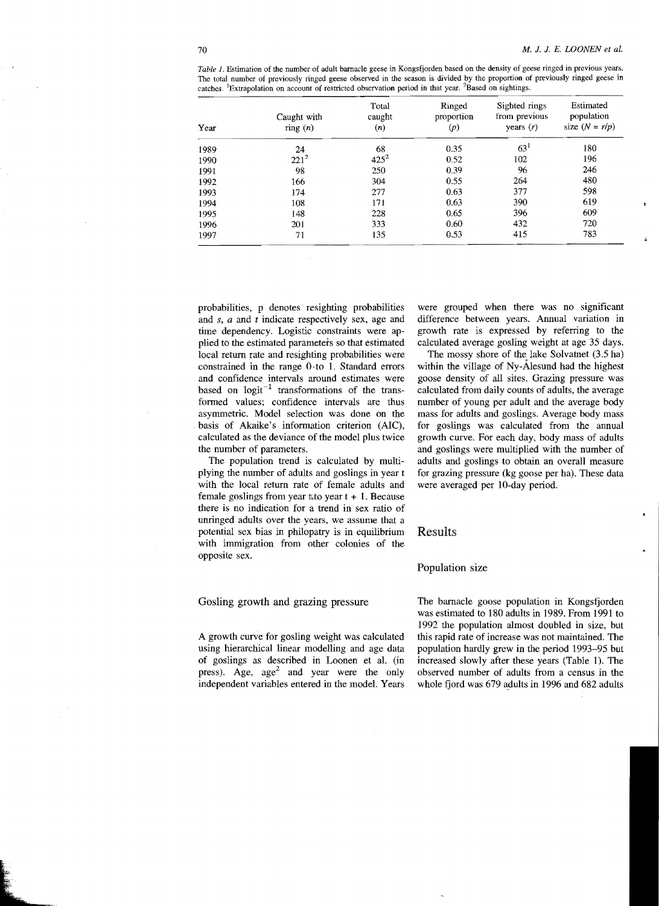| Year | Caught with      | Total<br>caught | Ringed<br>proportion<br>(p) | Sighted rings<br>from previous<br>years $(r)$ | Estimated<br>population<br>size $(N = r/p)$ |
|------|------------------|-----------------|-----------------------------|-----------------------------------------------|---------------------------------------------|
|      | $\text{ring}(n)$ | (n)             |                             |                                               |                                             |
| 1989 | 24               | 68              | 0.35                        | 63 <sup>1</sup>                               | 180                                         |
| 1990 | $221^2$          | $425^2$         | 0.52                        | 102                                           | 196                                         |
| 1991 | 98               | 250             | 0.39                        | 96                                            | 246                                         |
| 1992 | 166              | 304             | 0.55                        | 264                                           | 480                                         |
| 1993 | 174              | 277             | 0.63                        | 377                                           | 598                                         |
| 1994 | 108              | 171             | 0.63                        | 390                                           | 619                                         |
| 1995 | 148              | 228             | 0.65                        | 396                                           | 609                                         |
| 1996 | 201              | 333             | 0.60                        | 432                                           | 720                                         |
| 1997 | 71               | 135             | 0.53                        | 415                                           | 783                                         |

*Table* 1. Estimation of the number of adult barnacle geese in Kongsfjorden based on the density of geese ringed in previous years. The total number of previously ringed geese observed in the season is divided by the proportion of previously ringed geese in catches. <sup>1</sup>Extrapolation on account of restricted observation period in that year. <sup>2</sup>Based on sightings.

probabilities, p denotes resighting probabilities and *s, a* and *t* indicate respectively sex, age and time dependency. Logistic constraints were applied to the estimated parameters so that estimated local return rate and resighting probabilities were constrained in the range 0-to 1. Standard errors and confidence intervals around estimates were based on  $logit^{-1}$  transformations of the transformed values; confidence intervals are thus asymmetric. Model selection was done on the . basis of Akaike's information criterion (AlC), calculated as the deviance of the model plus twice the number of parameters.

The population trend is calculated by multiplying the number of adults and goslings in year t with the local return rate of female adults and female goslings from year  $\text{t}$  to year  $t + 1$ . Because there is no indication for a trend in sex ratio of unringed adults over the years, we assume that a potential sex bias in philopatry is in equilibrium with immigration from other colonies of the opposite sex.

# Gosling growth and grazing pressure

A growth curve for gosling weight was calculated using hierarchical linear modelling and age data of goslings as described in Loonen et aL (in press). Age,  $age<sup>2</sup>$  and year were the only independent variables entered in the modeL Years were grouped when there was no significant difference between years. Annual variation in growth rate is expressed by referring to the calculated average gosling weight at age 35 days.

The mossy shore of the lake Solvatnet (3.5 ha) within the village of Ny-Alesund had the highest goose density of all sites. Grazing pressure was calculated from daily counts of adults, the average number of young per adult and the average body mass for adults and goslings. Average body mass for goslings was calculated from the annual growth curve. For each day, body mass of adults and goslings were multiplied with the number of adults and goslings to obtain an overall measure for grazing pressure (kg goose per ha). These data were averaged per lO-day period.

# Results

#### Population size

The barnacle goose population in Kongsfjorden was estimated to 180 adults in 1989. From 1991 to 1992 the population almost doubled in size, but this rapid rate of increase was not maintained. The population hardly grew in the period 1993-95 but increased slowly after these years (Table 1). The observed number of adults from a census **in** the whole fjord was 679 adults in 1996 and 682 adults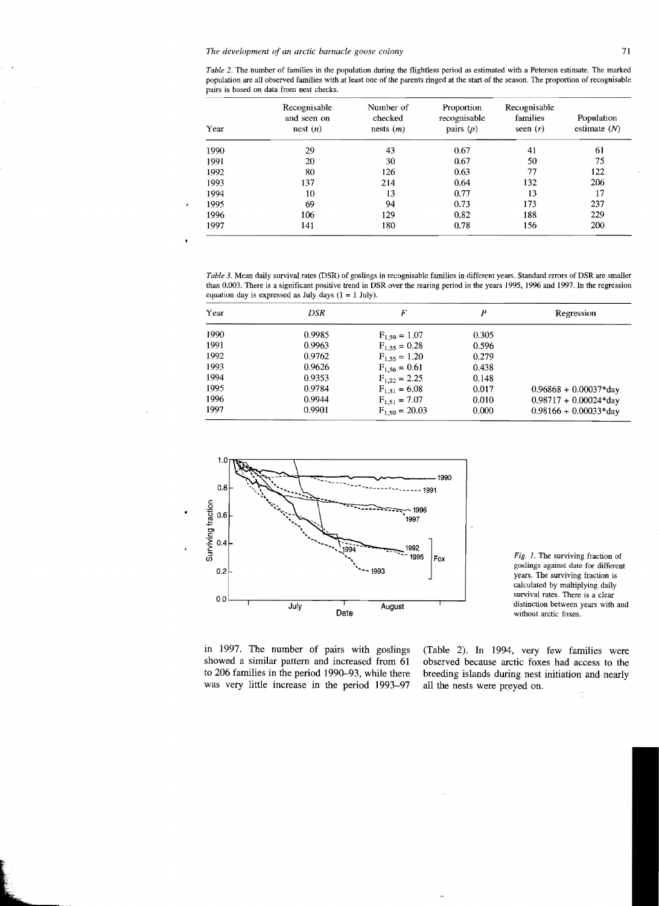| Year | Recognisable<br>and seen on<br>nest (n) | Number of<br>checked<br>nests(m) | Proportion<br>recognisable<br>pairs $(p)$ | Recognisable<br>families<br>seen $(r)$ | Population<br>estimate $(N)$ |
|------|-----------------------------------------|----------------------------------|-------------------------------------------|----------------------------------------|------------------------------|
| 1990 | 29                                      | 43                               | 0.67                                      | 41                                     | 61                           |
| 1991 | 20                                      | 30                               | 0.67                                      | 50                                     | 75                           |
| 1992 | 80                                      | 126                              | 0.63                                      | 77                                     | 122                          |
| 1993 | 137                                     | 214                              | 0.64                                      | 132                                    | 206                          |
| 1994 | 10                                      | 13                               | 0.77                                      | 13                                     | 17                           |
| 1995 | 69                                      | 94                               | 0.73                                      | 173                                    | 237                          |
| 1996 | 106                                     | 129                              | 0.82                                      | 188                                    | 229                          |
| 1997 | 141                                     | 180                              | 0.78                                      | 156                                    | 200                          |

*Table* 3. Mean daily survival rates (DSR) of goslings in recognisable families in different years. Standard errors ofDSR are smaller than 0.003. There is a significant positive trend in DSR over the rearing period in the years 1995, 1996 and 1997. In the regression equation day is expressed as July days  $(1 = 1$  July).

| Year | DSR    | F                  | ₽     | Regression              |
|------|--------|--------------------|-------|-------------------------|
| 1990 | 0.9985 | $F_{1,59} = 1.07$  | 0.305 |                         |
| 1991 | 0.9963 | $F_{1.55} = 0.28$  | 0.596 |                         |
| 1992 | 0.9762 | $F_{1.55} = 1.20$  | 0.279 |                         |
| 1993 | 0.9626 | $F_{1.56} = 0.61$  | 0.438 |                         |
| 1994 | 0.9353 | $F_{1,22} = 2.25$  | 0.148 |                         |
| 1995 | 0.9784 | $F_{1,51} = 6.08$  | 0.017 | $0.96868 + 0.00037*day$ |
| 1996 | 0.9944 | $F_{1,51} = 7.07$  | 0.010 | $0.98717 + 0.00024*day$ |
| 1997 | 0.9901 | $F_{1.50} = 20.03$ | 0.000 | $0.98166 + 0.00033*day$ |



Fig. I. The surviving fraction of goslings against date for different years. The surviving fraction is calculated by multiplying daily survival rates. There is a clear distinction between years with and

to 206 families in the period 1990-93, while there breeding islands during nest initiation and nearly was very little increase in the period 1993-97 all the nests were preyed on.

in 1997. The number of pairs with goslings (Table 2). In 1994, very few families were showed a similar pattern and increased from 61 observed because arctic foxes had access to the observed because arctic foxes had access to the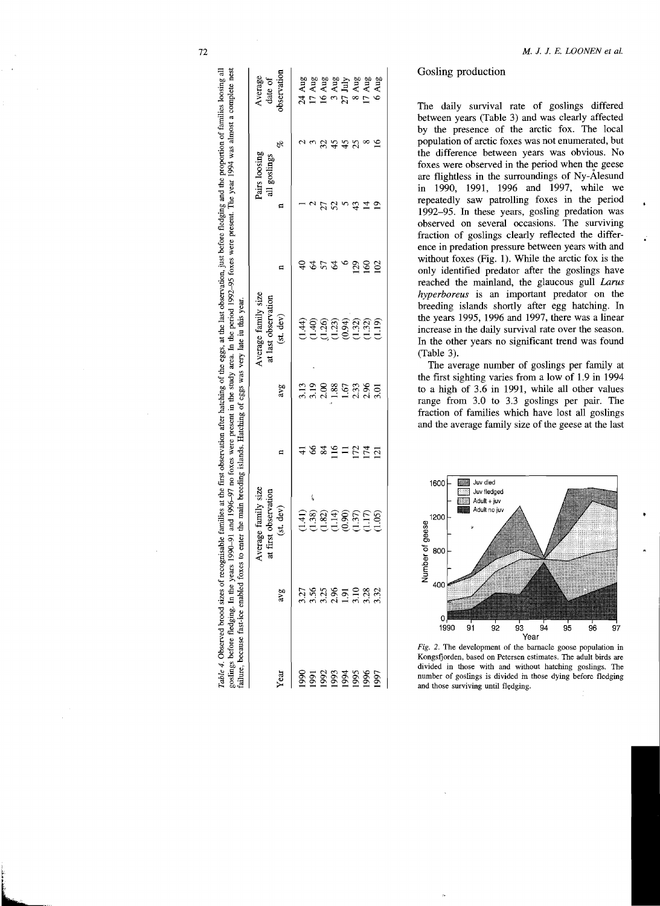|         |                                                       | Average family size                                                       |                 |                     | Average family size             |              | Pairs loosing |    | Average           |
|---------|-------------------------------------------------------|---------------------------------------------------------------------------|-----------------|---------------------|---------------------------------|--------------|---------------|----|-------------------|
|         |                                                       | first observation<br>ಕ                                                    |                 |                     | at last observation             |              | all goslings  |    | date of           |
| Year    | avg                                                   | (st. dev)                                                                 |                 | avg                 | (st. dev)                       |              |               | o  | observation       |
| 1990    |                                                       | (1.41)                                                                    |                 |                     | (1.44)                          |              |               |    | 24 Aug            |
|         |                                                       | í<br>(1.38)                                                               | $\delta$        | $\frac{3.13}{3.19}$ |                                 |              |               |    | 17 Aug            |
| 5263588 |                                                       |                                                                           | $\overline{84}$ | 2.00                |                                 |              |               | 32 | 16 Aug            |
|         |                                                       |                                                                           | 116             | 1.88                |                                 | 2            |               | 45 | 3 Aug             |
|         |                                                       | $\begin{array}{c} \n 21 \\ 21 \\ \hline\n 11 \\ \hline\n 0\n \end{array}$ | $\Xi$           | 1.67                |                                 |              |               | 45 | $27 \text{ July}$ |
|         |                                                       |                                                                           | 172             | 2.33                |                                 | $^{129}$     |               | 25 | Aug<br>∞          |
|         | ភ្នំ ភ្លុង ស្ពី ក្នុង អូ<br>ត្តូត ស្ពី ក្នុង ក្នុង អូ | (1.37)                                                                    | $\overline{14}$ | 2.96                | e sus sus<br>Sus sus<br>Sus sus | ଌ            |               |    | 17 Aug            |
| 1997    |                                                       | (1.05)                                                                    | 121             | 3.01                | (1.19)                          | $\mathbf{S}$ |               |    | 6 Aug             |

# Gosling production

The daily survival rate of goslings differed between years (Table 3) and was clearly affected by the presence of the arctic fox. The local population of arctic foxes was not enumerated, but the difference between years was obvious. No foxes were observed in the period when the geese are flightless in the surroundings of Ny-Alesund in 1990, 1991, 1996 and 1997, while we repeatedly saw patrolling foxes in the period 1992-95. **In** these years, gosling predation was observed on several occasions. The surviving fraction of goslings clearly reflected the difference in predation pressure between years with and without foxes (Fig. 1). While the arctic fox is the only identified predator after the goslings have reached the mainland, the glaucous gull *Larus hyperboreus* is an important predator on the breeding islands shortly after egg hatching. **In**  the years 1995, 1996 and 1997, there was a linear increase in the daily survival rate over the season. **In** the other years no significant trend was found (Table 3).

The average number of goslings per family at the first sighting varies from a low of 1.9 in 1994 to a high of 3.6 in 1991, while all other values range from 3.0 to 3.3 goslings per pair. The fraction of families which have lost all goslings and the average family size of the geese at the last



Fig. 2. The development of the barnacle goose population in Kongsfjorden, based on Petersen estimates. The adult birds are divided in those with and without hatching goslings. The number of goslings is divided in those dying before fledging and those surviving until fledging.

Table 4. Observed brood sizes of recognisable families at the first observation after hatching of the eggs, at the last observation, just before fledging and the proportion of families loosing all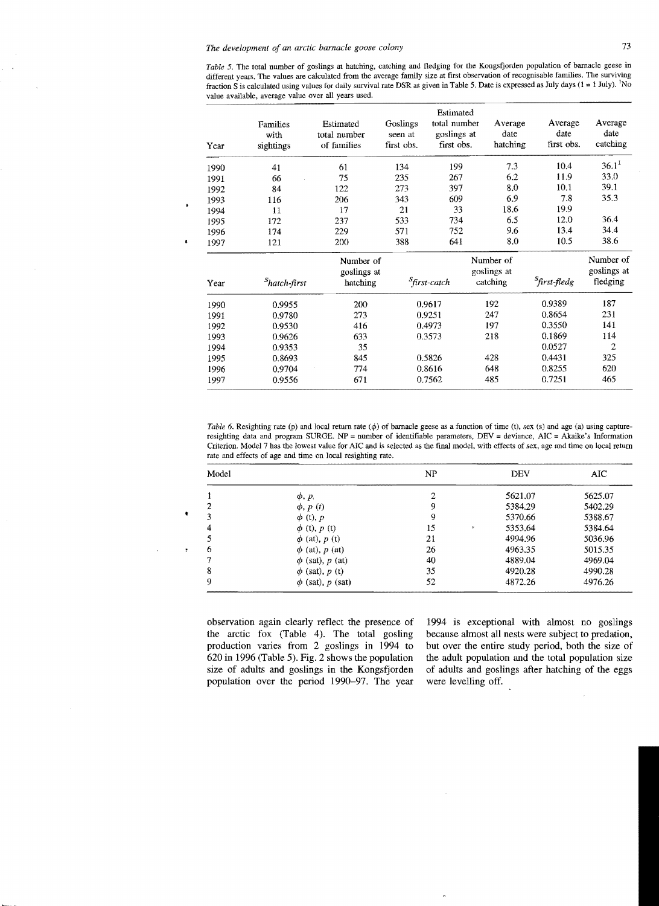*Table* 5. The total number of goslings at hatching, catching and fledging for the Kongsfjorden population of barnacle geese in different years. The values are calculated from the average family size at first observation of recognisable families. The surviving fraction S is calculated using values for daily survival rate DSR as given in Table 5. Date is expressed as July days  $(1 = 1 \text{ July})$ . 'No value available, average value over all years used.

| Year | Families<br>with<br>sightings | Estimated<br>total number<br>of families | Goslings<br>seen at<br>first obs. | Estimated<br>total number<br>goslings at<br>first obs. | Average<br>date<br>hatching          | Average<br>date<br>first obs. | Average<br>date<br>catching          |
|------|-------------------------------|------------------------------------------|-----------------------------------|--------------------------------------------------------|--------------------------------------|-------------------------------|--------------------------------------|
| 1990 | 41                            | 61                                       | 134                               | 199                                                    | 7.3                                  | 10.4                          | $36.1^{1}$                           |
| 1991 | 66                            | 75                                       | 235                               | 267                                                    | 6.2                                  | 11.9                          | 33.0                                 |
| 1992 | 84                            | 122                                      | 273                               | 397                                                    | 8.0                                  | 10.1                          | 39.1                                 |
| 1993 | 116                           | 206                                      | 343                               | 609                                                    | 6.9                                  | 7.8                           | 35.3                                 |
| 1994 | 11                            | 17                                       | 21                                | 33                                                     | 18.6                                 | 19.9                          |                                      |
| 1995 | 172                           | 237                                      | 533                               | 734                                                    | 6.5                                  | 12.0                          | 36.4                                 |
| 1996 | 174                           | 229                                      | 571                               | 752                                                    | 9.6                                  | 13.4                          | 34.4                                 |
| 1997 | 121                           | 200                                      | 388                               | 641                                                    | 8.0                                  | 10.5                          | 38.6                                 |
| Year | <sup>S</sup> hatch-first      | Number of<br>goslings at<br>hatching     |                                   | <sup>S</sup> first-catch                               | Number of<br>goslings at<br>catching | <sup>S</sup> first-fledg      | Number of<br>goslings at<br>fledging |
| 1990 | 0.9955                        | 200                                      |                                   | 0.9617                                                 | 192                                  | 0.9389                        | 187                                  |
| 1991 | 0.9780                        | 273                                      |                                   | 0.9251                                                 | 247                                  | 0.8654                        | 231                                  |
| 1992 | 0.9530                        | 416                                      |                                   | 0.4973                                                 | 197                                  | 0.3550                        | 141                                  |
| 1993 | 0.9626                        | 633                                      |                                   | 0.3573                                                 | 218                                  | 0.1869                        | 114                                  |
| 1994 | 0.9353                        | 35                                       |                                   |                                                        |                                      | 0.0527                        | 2                                    |
| 1995 | 0.8693                        | 845                                      |                                   | 0.5826                                                 | 428                                  | 0.4431                        | 325                                  |
| 1996 | 0.9704                        | 774                                      |                                   | 0.8616                                                 | 648                                  | 0.8255                        | 620                                  |
| 1997 | 0.9556                        | 671                                      |                                   | 0.7562                                                 | 485                                  | 0.7251                        | 465                                  |

*Table 6*. Resighting rate (p) and local return rate ( $\phi$ ) of barnacle geese as a function of time (t), sex (s) and age (a) using captureresighting data and program SURGE. NP = number of identifiable parameters, DEV = deviance, AIC = Akaike's Information Criterion. Model 7 has the lowest value for AIC and is selected as the final model, with effects of sex, age and time on local return rate and effects of age and time on local resighting rate.

| Model |                       | ΝP |   | DEV     | AIC     |
|-------|-----------------------|----|---|---------|---------|
|       | $\phi$ , $p$          | 2  |   | 5621.07 | 5625.07 |
| 2     | $\phi$ , $p(t)$       | 9  |   | 5384.29 | 5402.29 |
| 3     | $\phi$ (t), p         | 9  |   | 5370.66 | 5388.67 |
| 4     | $\phi$ (t), $p$ (t)   | 15 | ٠ | 5353.64 | 5384.64 |
|       | $\phi$ (at), $p$ (t)  | 21 |   | 4994.96 | 5036.96 |
| 6     | $\phi$ (at), $p$ (at) | 26 |   | 4963.35 | 5015.35 |
|       | $\phi$ (sat), p (at)  | 40 |   | 4889.04 | 4969.04 |
| 8     | $\phi$ (sat), $p$ (t) | 35 |   | 4920.28 | 4990.28 |
| 9     | $\phi$ (sat), p (sat) | 52 |   | 4872.26 | 4976.26 |

observation again clearly reflect the presence of the arctic fox (Table 4). The total gosling production varies from 2 goslings **in** 1994 to 620 in 1996 (Table 5). Fig. 2 shows the population size of adults and goslings in the Kongsfjorden population over the period 1990-97. The year

1994 is exceptional with almost no goslings because almost all nests were subject to predation, but over the entire study period, both the size of the adult population and the total population size of adults and goslings after hatching of the eggs were levelling off.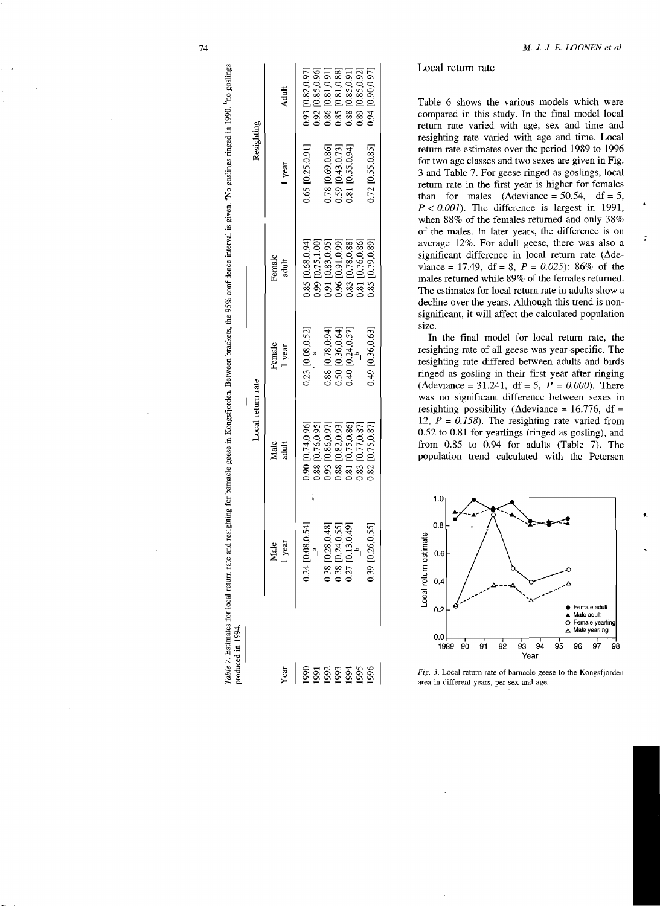| produced in 1994.               |                                                                                                  |                                                                                |                                      |                                      |                                                                                                  |                                                                                                                                                                                            |
|---------------------------------|--------------------------------------------------------------------------------------------------|--------------------------------------------------------------------------------|--------------------------------------|--------------------------------------|--------------------------------------------------------------------------------------------------|--------------------------------------------------------------------------------------------------------------------------------------------------------------------------------------------|
|                                 |                                                                                                  | Local return rate                                                              |                                      |                                      | Resighting                                                                                       |                                                                                                                                                                                            |
| Year                            | 1 year<br>Male                                                                                   | Male<br>adult                                                                  | Female<br>1 year                     | Female<br>adult                      | 1 year                                                                                           | Adult                                                                                                                                                                                      |
| 1990                            | 0.24 [0.08, 0.54]                                                                                | $0.90$ [0.74,0.96]<br>0.88 [0.76,0.95]<br>0.93 [0.86,0.97]<br>0.88 [0.82,0.93] | 0.23 [0.08,0.52]                     | 0.85 [0.68,0.94]<br>0.99 [0.75,1.00] | 0.65 [0.25,0.91]                                                                                 | $\begin{array}{c} 0.93 \ 0.82, 0.97 \\ 0.92 \ [0.85, 0.96] \\ 0.86 \ [0.81, 0.91] \\ 0.85 \ [0.81, 0.81] \\ 0.88 \ [0.81, 0.88] \\ 0.88 \ [0.85, 0.91] \\ 0.89 \ [0.85, 0.92] \end{array}$ |
| 58<br>58<br>58<br>58<br>58<br>5 |                                                                                                  |                                                                                |                                      | 0.91 [0.83,0.95]                     |                                                                                                  |                                                                                                                                                                                            |
|                                 | $\begin{array}{c} 0.38 \ [0.28, 0.48] \\ 0.38 \ [0.24, 0.55] \\ 0.27 \ [0.13, 0.49] \end{array}$ |                                                                                | 0.88 [0.78,0:94]<br>0.50 [0.36,0.64] | 0.96 [0.91,0.99]                     | $\begin{array}{c} 0.78 \ [0.69, 0.86] \\ 0.59 \ [0.43, 0.73] \\ 0.81 \ [0.55, 0.94] \end{array}$ |                                                                                                                                                                                            |
|                                 |                                                                                                  | $\begin{array}{c} 0.81 \ [0.75, 0.86] \\ 0.83 \ [0.77, 0.87] \end{array}$      | $0.40$ [0.24,0.57]                   | 0.83 [0.78,0.88]                     |                                                                                                  |                                                                                                                                                                                            |
|                                 |                                                                                                  |                                                                                |                                      | 0.81 [0.76,0.86]                     |                                                                                                  |                                                                                                                                                                                            |
| 1996                            | 0.39 [0.26,0.55]                                                                                 | 0.82 [0.75,0.87]                                                               | $0.49$ [0.36,0.63]                   | 0.85 [0.79,0.89]                     | 0.72 [0.55,0.85]                                                                                 | 0.94 [0.90,0.97]                                                                                                                                                                           |
|                                 |                                                                                                  |                                                                                |                                      |                                      |                                                                                                  |                                                                                                                                                                                            |

Table 7. Estimates for local return rate and resighting for barnacle geese in Kongsfjorden. Between brackets, the 95% confidence interval is given. "No gosings ringed in 1990, "no goslings

74 M. *1. 1. E. LOONEN et at.* 

### Local return rate

Table 6 shows the various models which were compared in this study. In the final model local return rate varied with age, sex and time and resighting rate varied with age and time. Local return rate estimates over the period 1989 to 1996 for two age classes and two sexes are given in Fig. 3 and Table 7. For geese ringed as goslings, local return rate in the first year is higher for females than for males  $(\Delta \text{deviance} = 50.54, \text{ df} = 5,$  $P < 0.001$ ). The difference is largest in 1991, when 88% of the females returned and only 38% of the males. In later years, the difference is on average 12%. For adult geese, there was also a significant difference in local return rate ( $\Delta$ deviance = 17.49, df = 8,  $P = 0.025$ : 86% of the males returned while 89% of the females returned. The estimates for local return rate in adults show a decline over the years. Although this trend is nonsignificant, it will affect the calculated population size.

In the final model for local return rate, the resighting rate of all geese was year-specific. The resighting rate differed between adults and birds ringed as gosling in their first year after ringing ( $\Delta$ deviance = 31.241, df = 5,  $P = 0.000$ ). There was no significant difference between sexes in resighting possibility ( $\Delta$ deviance = 16.776, df = 12,  $P = 0.158$ ). The resighting rate varied from 0.52 to 0.81 for yearlings (ringed as gosling), and from 0.85 to 0.94 for adults (Table 7). The population trend calculated with the Petersen



t.

á

Fig. 3. Local return rate of barnacle geese to the Kongsfjorden area in different years, per sex and age.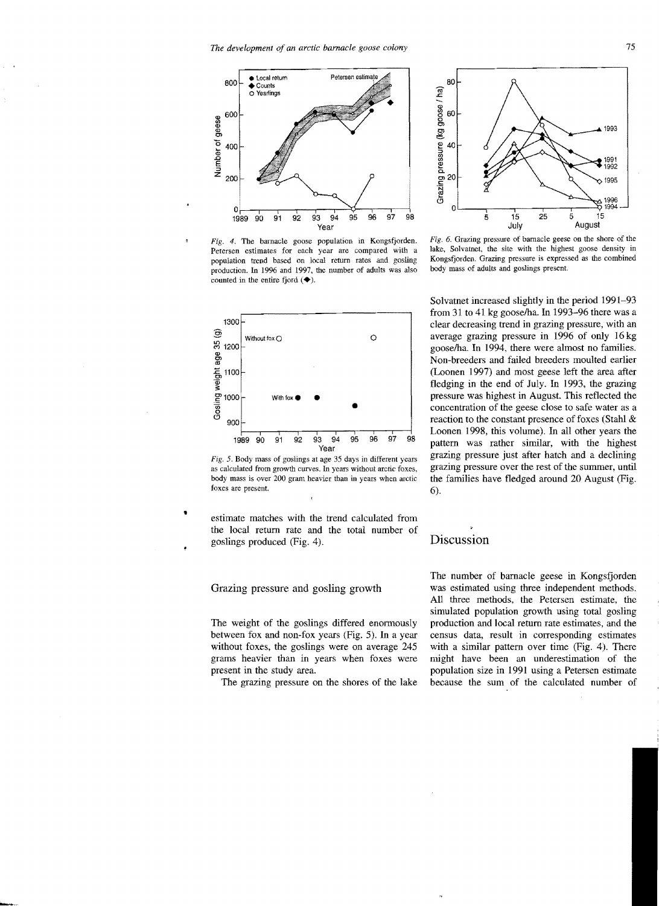

*Fig.* 4. The barnacle goose population in Kongsfjorden. Petersen estimates for each year are compared with a population trend based on local return rates and gosling production. In 1996 and 1997, the number of adults was also counted in the entire fjord  $(\blacklozenge)$ .



*Fig.* 5. Body mass of goslings at age 35 days in different years as calculated from growth curves. In years without arctic foxes, body mass is over 200 gram heavier than in years when arctic foxes are present.

estimate matches with the trend calculated from the local return rate and the total number of goslings produced (Fig. 4).

#### Grazing pressure and gosling growth

The weight of the goslings differed enormously between fox and non-fox years (Fig. 5). In a year without foxes, the goslings were on average 245 grams heavier than in years when foxes were present in the study area.

The grazing pressure on the shores of the lake



Fig. 6. Grazing pressure of barnacle geese on the shore of the lake, Solvatnet. the site with the highest goose density in Kongsfjorden. Grazing pressure is expressed as the combined body mass of adults and goslings present.

Solvatnet increased slightly in the period 1991-93 from 31 to 41 kg goose/ha. In 1993-96 there was a clear decreasing trend in grazing pressure, with an average grazing pressure in 1996 of only 16 kg gooselha. In 1994, there were almost no families. Non-breeders and failed breeders moulted earlier (Loonen 1997) and most geese left the area after fledging in the end of July. In 1993, the grazing pressure was highest in August. This reflected the concentration of the geese close to safe water as a reaction to the constant presence of foxes (Stahl & Loonen 1998, this volume). In all other years the pattern was rather similar, with the highest grazing pressure just after hatch and a declining grazing pressure over the rest of the summer, until the families have fledged around 20 August (Fig. 6).

# Discussion

The number of barnacle geese in Kongsfjorden was estimated using three independent methods. All three methods, the Petersen estimate, the simulated population growth using total gosling production and local return rate estimates, and the census data, result in corresponding estimates with a similar pattern over time (Fig. 4). There might have been an underestimation of the population size in 1991 using a Petersen estimate because the sum of the calculated number of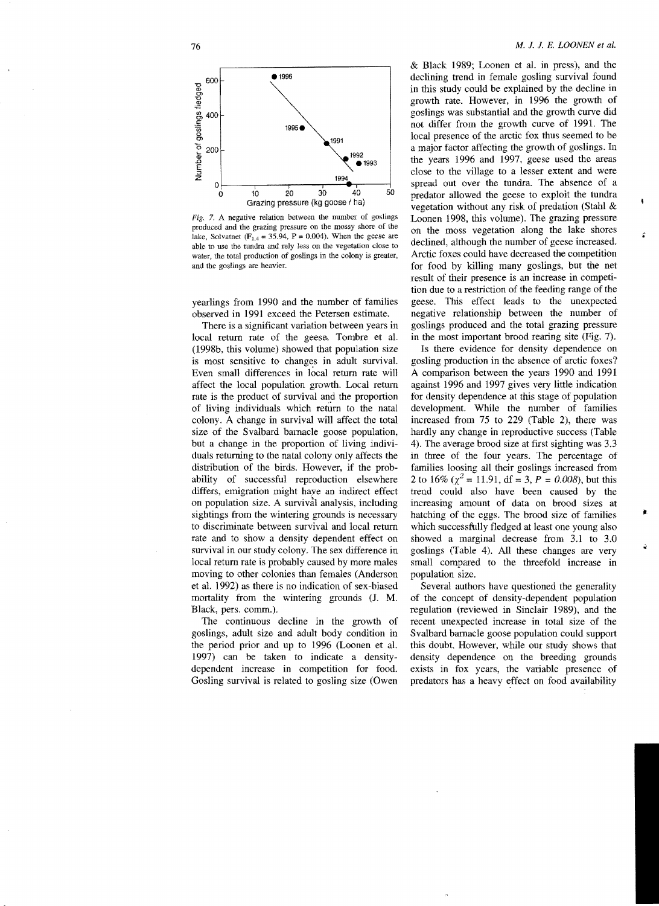

Fig. 7. A negative relation between the number of goslings produced and the grazing pressure on the mossy shore of the lake, Solvatnet ( $F_{1,4} = 35.94$ , P = 0.004). When the geese are able to use the tundra and rely less on the vegetation close to water, the total production of goslings in the colony is greater, and the goslings are heavier.

yearlings from 1990 and the number of families observed in 1991 exceed the Petersen estimate.

There is a significant variation between years in local return rate of the geese. Tombre et al. (1998b, this volume) showed that population size is most sensitive to changes in adult survival. Even small differences in local return rate will affect the local population growth. Local return rate is the product of survival and the proportion of living individuals which return to the natal colony. A change in survival will affect the total size of the Svalbard barnacle goose population, but a change in the proportion of living individuals returning to the natal colony only affects the distribution of the birds. However, if the probability of successful reproduction elsewhere differs, emigration might have an indirect effect on population size. A survival analysis, including sightings from the wintering grounds is necessary to discriminate between survival and local return rate and to show a density dependent effect on survival in our study colony. The sex difference in local return rate is probably caused by more males moving to other colonies than females (Anderson et al. 1992) as there is no indication of sex-biased mortality from the wintering grounds (1. M. Black, pers. comm.).

The continuous decline in the growth of goslings, adult size and adult body condition in the period prior and up to 1996 (Loonen et a1. 1997) can be taken to indicate a densitydependent increase in competition for food. Gosling survival is related to gosling size (Owen & Black 1989; Loonen et al. in press), and the declining trend in female gosling survival found in this study could be explained by the decline in growth rate. However, in 1996 the growth of goslings was substantial and the growth curve did not differ from the growth curve of 1991. The local presence of the arctic fox thus seemed to be a major factor affecting the growth of goslings. In the years 1996 and 1997, geese used the areas close to the village to a lesser extent and were spread out over the tundra. The absence of a predator allowed the geese to exploit the tundra vegetation without any risk of predation (Stahl & Loonen 1998, this volume). The grazing pressure on the moss vegetation along the lake shores declined, although the number of geese increased. Arctic foxes could have decreased the competition for food by killing many goslings, but the net result of their presence is an increase in competition due to a restriction of the feeding range of the geese. This effect leads to the unexpected negative relationship between the number of goslings produced and the total grazing pressure in the most important brood rearing site (Fig. 7).

Is there evidence for density dependence on gosling production in the absence of arctic foxes? A comparison between the years 1990 and 1991 against 1996 and 1997 gives very little indication for density dependence at this stage of population development. While the number of families increased from 75 to 229 (Table 2), there was hardly any change in reproductive success (Table 4). The average brood size at first sighting was 3.3 in three of the four years. The percentage of families loosing all their goslings increased from 2 to 16% ( $\chi^2$  = 11.91, df = 3, P = 0.008), but this trend could also have been caused by the increasing amount of data on brood sizes at hatching of the eggs. The brood size of families which successfully fledged at least one young also showed a marginal decrease from 3.1 to 3.0 goslings (Table 4). All these changes are very small compared to the threefold increase in population size.

Several authors have questioned the generality of the concept of density-dependent population regulation (reviewed in Sinclair 1989), and the recent unexpected increase in total size of the Svalbard bamacle goose population could support this doubt. However. while our study shows that density dependence on the breeding grounds exists in fox years, the variable presence of predators has a heavy effect on food availability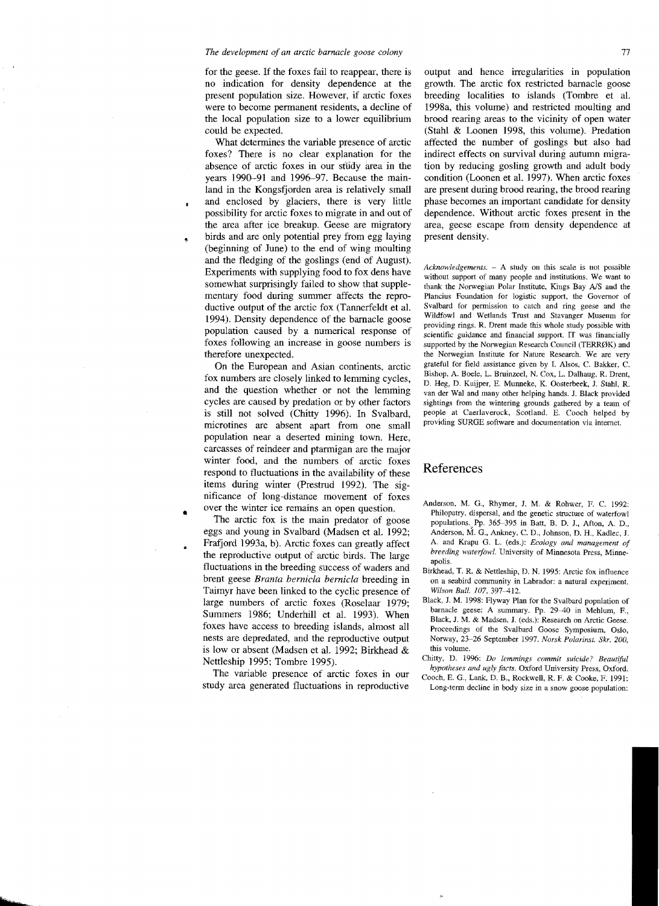#### *The development of an arctic barnacle goose colony* 77

for the geese. If the foxes fail to reappear, there is no indication for density dependence at the present population size. However, if arctic foxes were to become permanent residents, a decline of the local population size to a lower equilibrium could be expected.

What determines the variable presence of arctic foxes? There is no clear explanation for the absence of arctic foxes in our study area in the years 1990-91 and 1996-97. Because the mainland in the Kongsfjorden area is relatively small and enclosed by glaciers, there is very little possibility for arctic foxes to migrate in and out of the area after ice breakup. Geese are migratory birds and are only potential prey from egg laying (beginning of June) to the end of wing moulting and the fledging of the goslings (end of August). Experiments with supplying food to fox dens have somewhat surprisingly failed to show that supplementary food during summer affects the reproductive output of the arctic fox (Tanncrfeldt et al. 1994). Density dependence of the barnacle goose population caused by a numerical response of foxes following an increase in goose numbers is therefore unexpected.

 $\pmb{\cdot}$ 

On the European and Asian continents, arctic fox numbers are closely linked to lemming cycles, and the question whether or not the lemming cycles are caused by predation or by other factors is still not solved (Chitty 1996). In SValbard, microtines are absent apart from one small population near a deserted mining town. Here, carcasses of reindeer and ptarmigan are the major winter food, and the numbers of arctic foxes respond to fluctuations in the availability of these items during winter (Prestrud 1992). The significance of long-distance movement of foxes over the winter ice remains an open question.<br>The arctic fox is the main predator of goose

eggs and young in Svalbard (Madsen et al. 1992; Frafjord 1993a, b). Arctic foxes can greatly affect the reproductive output of arctic birds. The large fluctuations in the breeding success of waders and brent geese *Branta bernicla bernicla* breeding in Taimyr have been linked to the cyclic presence of large numbers of arctic foxes (Roselaar 1979; Summers 1986; Underhill et al. 1993). When foxes have access to breeding islands, almost all nests are depredated, and the reproductive output is low or absent (Madsen et al. 1992; Birkhead & Nettleship 1995; Tombre 1995).

The variable presence of arctic foxes in our study area generated fluctuations in reproductive output and hence irregularities in population growth. The arctic fox restricted barnacle goose breeding localities to islands (Tombre et aL 1998a, this volume) and restricted moulting and brood rearing areas to the vicinity of open water (Stahl & Loonen 1998, this volume). Predation affected the number of goslings but also had indirect effects on survival during autumn migration by reducing gosling growth and adult body condition (Loonen et al. 1997). When arctic foxes are present during brood rearing, the brood rearing phase becomes an important candidate for density dependence. Without arctic foxes present in the area, geese escape from density dependence at present density.

*Acknowledgements.* - A study on Ihis scale is not possible without support of many people and institutions. We want to thank the Norwegian Polar Institute, Kings Bay A/S and the Plancius Foundation for logistic support, the Governor of Svalbard for permission to catch and ring geese and the Wildfowl and Wetlands Trust and Stavanger Musenm for providing rings. R. Drent made this whole study possible with scientific guidance and financial support. IT was financially supported by the Norwegian Research Council (TERRØK) and the Norwegian Institute for Nature Research. We are very grateful for field assistance given by I. Alsos, C. Bakker, C. Bishop, A. Boele, L. Bruinzeel, N. Cox, L. Dalhaug. R. Drenl, D. Heg, D. Kuijper, E, Munneke, K Oosterbeek, J. Stahl. R, van der Wal and many other helping hands. J. Black provided sightings from the wintering grounds gathered by a team of people at Caerlaverock, Scotland. E, Cooch helped by providing SURGE software and documentation via internet.

# References

- Anderson. M. G., Rhymer, J. M. & Rohwer, F. C. 1992: Philopatry, dispersal, and the genetic structure of waterfowl populations. Pp. 365-395 in Batt, B. D. J., Afton, A. D., Anderson, M. G., Ankney, C. D., Johnson, D. H., Kadlec, J. A. and Krapu G, L. (eds.): *Ecology and management of breeding wateifowl.* University of Minnesota Press, Minneapolis.
- Birkhead, T. R. & Nettleship, D. N. 1995: Arctic fox influence on a seabird community in Labrador: a natural experiment. *Wilson Bull. 107, 397-412.*
- Black, J. M. 1998: Flyway Plan for the Svalbard population of barnacle geese: A summary. Pp. 29-40 in Mehlum, F., Black. J. M. & Madsen, 1. (eds.): Research on Arctic Geese. Proceedings of the Svalbard Goose Symposium. Oslo, Norway, 23-26 September 1997. *Norsk Polarinst. Skr. 200.*  this volume.
- Chitty, D. 1996: *Do lemmings commit suicide? Beautiful hypotheses and ugly facts.* Oxford University Press, Oxford.
- Cooch, E. G., Lank, D. B., Rockwell, R. F. & Cooke. F. 1991: Long-term decline in body size in a snow goose population: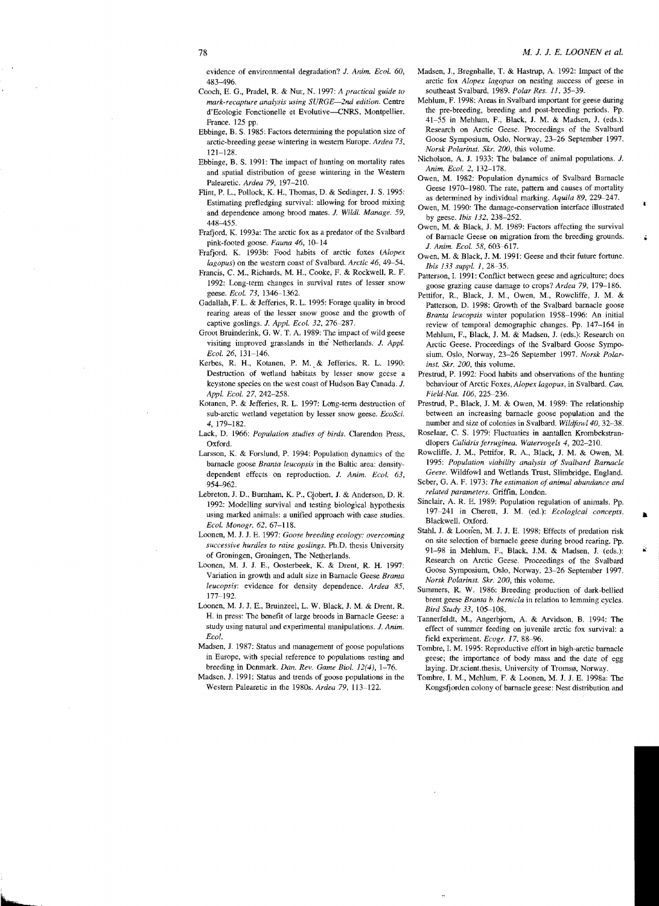evidence of environmental degradation? J. *Anim. Ecol. 60,*  483-496.

- Cooch, E. G., Pradel, R. & Nur, N. 1997: *A practical guide to mark-recapture analysis using SURGE-2nd edition.* Centre d'Ecologie Fonctionelle et Evolutive-CNRS, Montpellier, France. 125 pp.
- Ebbinge, B. S. 1985: Factors determining the population size of arctic-breeding geese wintering in western Europe. *Ardea 73,*  121-128.
- Ebbinge, B. S. 1991: The impact of hunting on mortality rates and spatial distribution of geese wintering in the Western Palearetic. *Ardea* 79, 197-210.
- Flint, P. L., Pollock, K. H., Thomas, D. & Sedinger, J. S. 1995: Estimating prcfledging survival: allowing for brood mixing and dependence among brood mates. J. *Wildl. Manage. 59,*  448-455.
- Frafjord, K. 1993a: The arctic fox as a predator of tbe Svalbard pink-footed goose. *Fauna* 46, 10-14
- Frafjord. K. 1993b: Food habits of arctic foxes *(Alopex lagopus)* on the western coast of Svalbard. *Arctic* 46, 49-54.
- Francis, C. M., Richards, M. H., Cooke, F. & Rockwell, R. F. 1992: Long-term changes in survival rates of lesser snow geese. *Ecol.* 73, 1346-1362.
- Gadallah, F. L. & Jefferies, R. L. 1995: Forage quality in brood rearing areas of the lesser snow goose and the growth of captive goslings. J. Appl. Ecol. 32, 276-287.
- Groot Bruinderink, G. W. T. A. 1989: The impact of wild geese visiting improved grasslands in tbe Netherlands. J. *Appl. Ecol.* 26, 131-146.
- Kerbes, R. H., Kotanen, P. M..& Jefferies, R. L. 1990: Destruction of wetland habitats by lesser snow geese a keystone species on the west coast of Hudson Bay Canada. J. *Appl. Ecol.* 27, 242-258.
- Kotanen, P. & Jefferies, R. L. 1997: Long-term destruction of sub-arctic wetland vegetation by lesser snow geese. *EcoSci.*  4, 179-182.
- Lack, D. 1966: Population studies of birds. Clarendon Press, Oxford.
- Larsson, K. & Forslund, P. 1994: Population dynanrics of the barnacle goose *Brama leucopsis* in tbe Baltic area: densitydependent effects on reproduction. 1. *Anim. Ecol. 63,*  954-962.
- Lebreton, J. D., Burnham, K. P., Clobert, J. & Anderson, D. R. 1992: Modelling survival and testing biological hypothesis using marked animals: a unified approacb with case studies. *Ecol. Monogr.* 62.67-118.
- Loonen, M. J. J. E. 1997: *Goose breeding ecology: overcoming successive hurdles 10 raise goslings.* Ph.D. thesis University of Groningen, Groningen, The Netherlands.
- Loonen, M. J. J. E., Oosterbeek, K. & Drent, R. H. 1997: Variation in growth and adult size in Barnacle Geese *Brama leucopsis:* evidence for density dependence. *Ardea* 85, 177-192.
- Loonen, M. J. J. E., Bruinzeel, L. W. Black, J. M. & Drent, R. H. in press: The benefit of large broods in Barnacle Geese: a study using natural and experimental manipUlations. J. *Anim. Ecol.*
- Madsen, J. 1987: Status and management of goose populations in Europe, with special reference to populations resting and breeding in Denmark. *Dan. Rev. Game BioI.* 12(4), 1-76.
- Madsen, J. 1991: Status and trends of goose populations in the Western Palearetic in tbe 1980s. *Ardea* 79. 113-122.
- Madsen, J., Bregnballe, T. & Hastrup, A. 1992: Impact of the arctic fox *Alopex lagopus* on nesting success of geese in southeast SValbard, 1989. *Polar Res.* 11, 35-39.
- Mehlurn, F. 1998: Areas in Svalbard important for geese during the pre-breeding, breeding and post-breeding periods. Pp. 41-55 in Mehlurn, F., Black, J. M. & Madsen, J. (cds.): Research on Arctic Geese. Proceedings of the Svalbard Goose Symposium, Oslo, Norway, 23-26 September 1997. *Norsk Polarinst. Skr. 200, this volume.*
- Nicholson, A. J. 1933: The balance of animal populations. J. *Anim. Ecol.* 2, 132-178.
- Owen, M. 1982: Population dynaruics of Svalbard Barnacle Geese 1970-1980. The rate, pattern and causes of mortality as determined by individual marking. Aquila 89, 229-247.
- Owen, M. 1990: The damage-conservation interface illustrated by geese. *Ibis 132. 238-252.*
- Owen, M. & Black:, J. M. 1989: Factors affecting the survival of Barnacle Geese on nrigration from the breeding grounds. J. Anim. Ecol. 58, 603-617.
- Owen, M. & Black, J. M. 1991: Geese and tbeir future fortune. *Ibis 133 suppl. 1, 28-35.*
- Patterson, L 1991: Conflict between geese and agriculture; does goose grazing cause damage to crops? *Ardea* 79, 179-186.
- Pettifor, R., Black, J. M., Owen, M., Rowcliffe, J. M. & Patterson, D. 1998: Growth of the Svalbard barnacle goose *Branta leucopsis* winter population 1958-1996: An initial review of temporal demographic changes. Pp. 147-164 in Mehlum, F., Black:, J. M. & Madsen, J. (eds.): Research on Arctic Geese. Proceedings of the Svalbard Goose Symposium, Oslo, Norway, 23-26 September 1997. *Norsk Polarinst. Skr. 200*, this volume.
- Prestrud, P. 1992: Food habits and observations of the hunting behaviour of Arctic Foxes, *Alopex lagopus*, in Svalbard. Can, *Field-Nat. 106, 225-236.*
- Prestrud, P., Black, J. M. & Owen, M. 1989: The relationship between an increasing barnacle goose population and the number and size of colonies in Svalbard. *Wildjowl40, 32-·38.*
- Roselaar, C. S. 1979: Fluctuaties in aantallen Krombekstrandlopers *Calldris jerruginea. Watervogeis* 4, 202-210.
- Roweliffe, J. M., Pettifor, R. A., Black, J. M. & Owen, M. 1995: *Population viability analysis of Svalbard Barnacle Geese.* Wildfowl and Wetlands Trust, Slimbridge, England.
- Seber, G. A. F. 1973: *The estimation of animal abundance and related parameters.* GriffIn, London.
- Sinclair, A. R. E. 1989: Population regulation of animals. pp. 197-241 in Cherett, J. M. (ed.): *Ecological concepts.*  Blackwell, Oxford.
- Stahl, J. & Loonen, M. J. J. E. 1998: Effects of predation risk on site selection of barnacle geese during brood rearing. pp. 91-98 in Mehlum, F., Blaek, J.M. & Madsen, J. (cds.): Research on Arctic Geese. Proceedings of the Svalbard Goose Symposium, Oslo, Norway. 23-26 September 1997. *Norsk Polarinst. Skr. 200,* this volume.
- Summers, R. W. 1986: Breeding production of dark-bellied brent geese *Brama b. bemicla* in relation to lemming cycles. *Bird Study* 33, 105-108.
- Tannerfeldt, M., Angerbjorn, A. & Arvidson, B. 1994: The effect of summer feeding on juvenile arctic fox survival: a field experiment. *Ecogr.* 17, 88-96.
- Tombre. 1. M. 1995: Reproductive effort in high-arctic barnacle geese; tbe importance of body mass and the date of egg laying. Dr.scient.thesis, University of Tromsø, Norway.
- Tombre, I. M., Mehlum, F. & Loonen, M. J. J. E. 1998a: The Kongsfjorden colony of barnacle geese: Nest distribution and